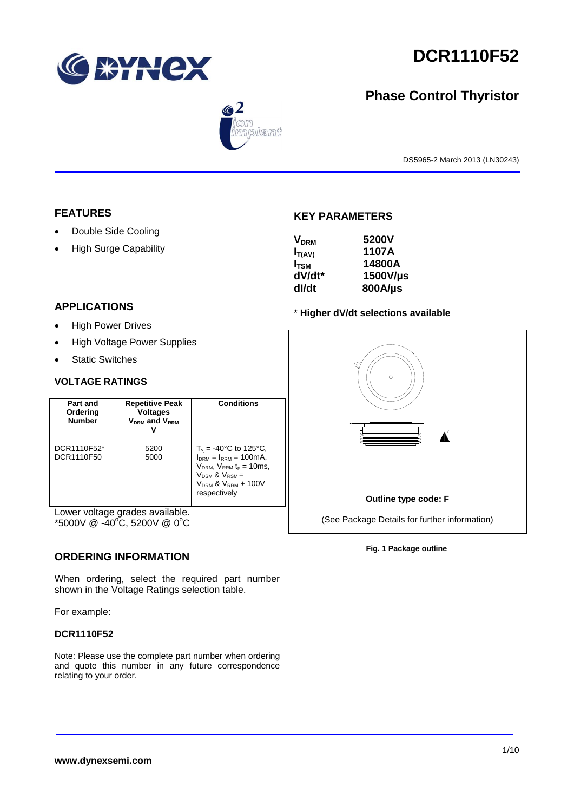

# **DCR1110F52**

# **Phase Control Thyristor**



DS5965-2 March 2013 (LN30243)

## **FEATURES**

- Double Side Cooling
- High Surge Capability

# **KEY PARAMETERS**

| <b>V<sub>DRM</sub></b> | 5200V    |
|------------------------|----------|
| $I_{T(AV)}$            | 1107A    |
| $I_{TSM}$              | 14800A   |
| dV/dt*                 | 1500V/µs |
| dl/dt                  | 800A/µs  |
|                        |          |

## **APPLICATIONS**

- High Power Drives
- High Voltage Power Supplies
- Static Switches

## **VOLTAGE RATINGS**

| Part and<br>Ordering<br><b>Number</b> | <b>Repetitive Peak</b><br><b>Voltages</b><br>$V_{DRM}$ and $V_{RRM}$ | Conditions                                                                                                                                                                                |
|---------------------------------------|----------------------------------------------------------------------|-------------------------------------------------------------------------------------------------------------------------------------------------------------------------------------------|
| DCR1110F52*<br>DCR1110F50             | 5200<br>5000                                                         | $T_{\rm vi}$ = -40°C to 125°C,<br>$I_{DRM} = I_{RRM} = 100 \text{mA}$<br>$V_{DRM}$ , $V_{RRM}$ $t_{p}$ = 10ms,<br>$V_{DSM}$ & $V_{RSM}$ =<br>$V_{DRM}$ & $V_{RRM}$ + 100V<br>respectively |

Lower voltage grades available.  $*5000V \ @ \ -40^{\circ}C, 5200V \ @ \ 0^{\circ}C$ 

# **ORDERING INFORMATION**

When ordering, select the required part number shown in the Voltage Ratings selection table.

For example:

## **DCR1110F52**

Note: Please use the complete part number when ordering and quote this number in any future correspondence relating to your order.

# \* **Higher dV/dt selections available**



**Outline type code: F**

(See Package Details for further information)

**Fig. 1 Package outline**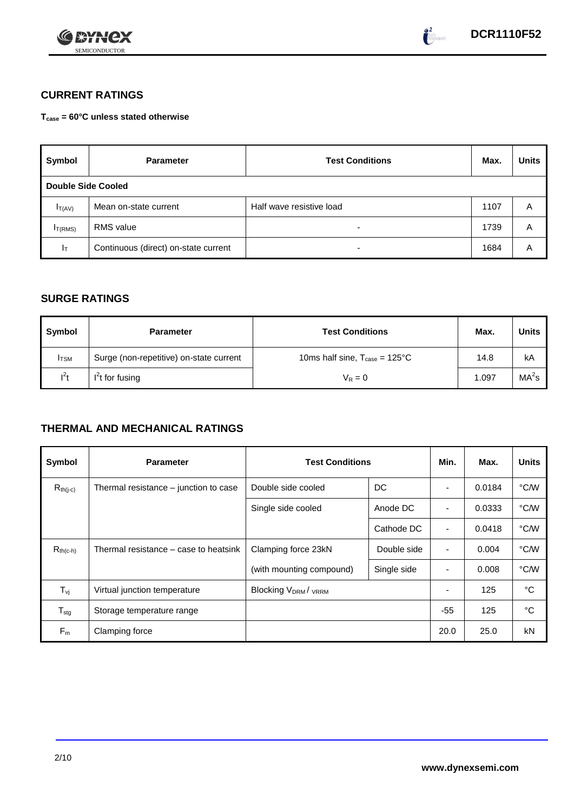



# **CURRENT RATINGS**

**Tcase = 60°C unless stated otherwise**

| Symbol                    | <b>Parameter</b>                     | <b>Test Conditions</b>   | Max. | <b>Units</b> |
|---------------------------|--------------------------------------|--------------------------|------|--------------|
| <b>Double Side Cooled</b> |                                      |                          |      |              |
| $I_{T(AV)}$               | Mean on-state current                | Half wave resistive load | 1107 | A            |
| I <sub>T(RMS)</sub>       | <b>RMS</b> value                     | -                        | 1739 | Α            |
| $I_T$                     | Continuous (direct) on-state current | -                        | 1684 | A            |

# **SURGE RATINGS**

| Symbol       | <b>Parameter</b>                        | <b>Test Conditions</b>                            | Max.  | <b>Units</b>      |
|--------------|-----------------------------------------|---------------------------------------------------|-------|-------------------|
| <b>I</b> TSM | Surge (non-repetitive) on-state current | 10ms half sine, $T_{\text{case}} = 125^{\circ}$ C | 14.8  | kA                |
| $I^2t$       | $I2t$ for fusing                        | $V_R = 0$                                         | 1.097 | MA <sup>2</sup> s |

# **THERMAL AND MECHANICAL RATINGS**

| Symbol           | <b>Parameter</b>                      | <b>Test Conditions</b>    | Min.        | Max.                     | <b>Units</b> |      |
|------------------|---------------------------------------|---------------------------|-------------|--------------------------|--------------|------|
| $R_{th(j-c)}$    | Thermal resistance – junction to case | Double side cooled        | DC          |                          | 0.0184       | °C/W |
|                  |                                       | Single side cooled        | Anode DC    |                          | 0.0333       | °C/W |
|                  |                                       |                           | Cathode DC  | $\overline{\phantom{a}}$ | 0.0418       | °C/W |
| $R_{th(c-h)}$    | Thermal resistance – case to heatsink | Clamping force 23kN       | Double side | $\blacksquare$           | 0.004        | °C/W |
|                  |                                       | (with mounting compound)  | Single side |                          | 0.008        | °C/W |
| $T_{\rm vj}$     | Virtual junction temperature          | <b>Blocking VDRM/VRRM</b> |             |                          | 125          | °C   |
| $T_{\text{stg}}$ | Storage temperature range             |                           |             | $-55$                    | 125          | °C   |
| $F_m$            | Clamping force                        |                           |             | 20.0                     | 25.0         | kN   |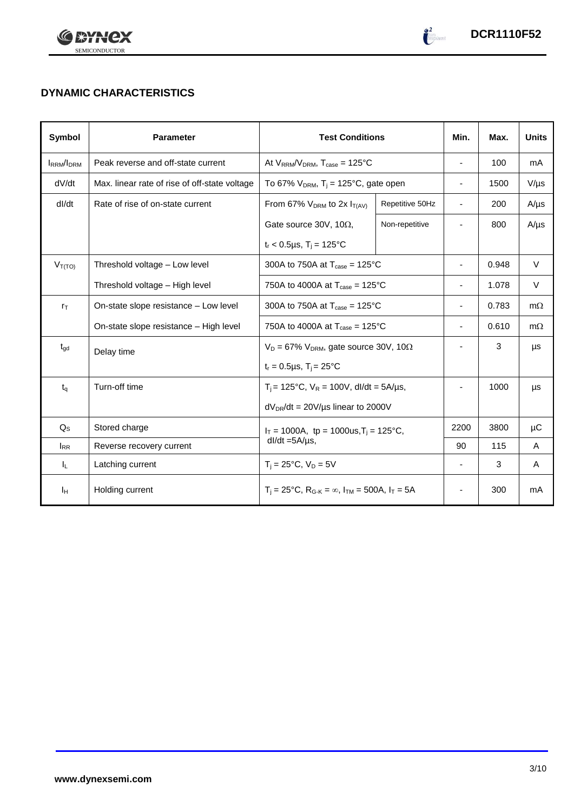



# **DYNAMIC CHARACTERISTICS**

| <b>Symbol</b>     | <b>Parameter</b>                              | <b>Test Conditions</b>                                                  | Min.                     | Max.                     | <b>Units</b> |           |
|-------------------|-----------------------------------------------|-------------------------------------------------------------------------|--------------------------|--------------------------|--------------|-----------|
| <b>IRRM</b> /IDRM | Peak reverse and off-state current            | At $V_{RRM}/V_{DRM}$ , $T_{case} = 125^{\circ}C$                        |                          | ۰                        | 100          | mA        |
| dV/dt             | Max. linear rate of rise of off-state voltage | To 67% $V_{DRM}$ , T <sub>i</sub> = 125°C, gate open                    |                          | $\overline{\phantom{a}}$ | 1500         | $V/\mu s$ |
| dl/dt             | Rate of rise of on-state current              | From 67% $V_{DRM}$ to 2x $I_{T(AV)}$                                    | Repetitive 50Hz          | $\overline{\phantom{a}}$ | 200          | $A/\mu s$ |
|                   |                                               | Gate source 30V, 10 $\Omega$ ,                                          | Non-repetitive           |                          | 800          | $A/\mu s$ |
|                   |                                               | $t_r$ < 0.5µs, T <sub>i</sub> = 125°C                                   |                          |                          |              |           |
| $V_{T(TO)}$       | Threshold voltage - Low level                 | 300A to 750A at $T_{\text{case}} = 125^{\circ}$ C                       | -                        | 0.948                    | $\vee$       |           |
|                   | Threshold voltage - High level                | 750A to 4000A at $T_{\text{case}} = 125^{\circ}$ C                      | $\overline{\phantom{0}}$ | 1.078                    | V            |           |
| $r_{\text{T}}$    | On-state slope resistance - Low level         | 300A to 750A at $T_{\text{case}} = 125^{\circ}$ C                       | $\overline{\phantom{a}}$ | 0.783                    | $m\Omega$    |           |
|                   | On-state slope resistance - High level        | 750A to 4000A at $T_{\text{case}} = 125^{\circ}$ C                      | $\overline{\phantom{a}}$ | 0.610                    | $m\Omega$    |           |
| $t_{\text{gd}}$   | Delay time                                    | $V_D = 67\%$ V <sub>DRM</sub> , gate source 30V, 10 $\Omega$            |                          |                          | 3            | μs        |
|                   |                                               | $t_r = 0.5 \mu s$ , $T_i = 25^{\circ}C$                                 |                          |                          |              |           |
| $t_q$             | Turn-off time                                 | $T_i$ = 125°C, $V_R$ = 100V, dl/dt = 5A/µs,                             |                          |                          | 1000         | μs        |
|                   |                                               | $dV_{DR}/dt = 20V/\mu s$ linear to 2000V                                |                          |                          |              |           |
| $Q_{S}$           | Stored charge                                 | $I_T = 1000A$ , tp = 1000us, $T_i = 125$ °C,                            |                          | 2200                     | 3800         | μC        |
| $I_{RR}$          | Reverse recovery current                      | $dl/dt = 5A/\mu s$ ,                                                    | 90                       | 115                      | A            |           |
| ΙL.               | Latching current                              | $T_i = 25^{\circ}C$ , $V_D = 5V$                                        | $\blacksquare$           | 3                        | A            |           |
| Iн                | Holding current                               | $T_i = 25^{\circ}C$ , $R_{G-K} = \infty$ , $I_{TM} = 500A$ , $I_T = 5A$ |                          | ٠                        | 300          | mA        |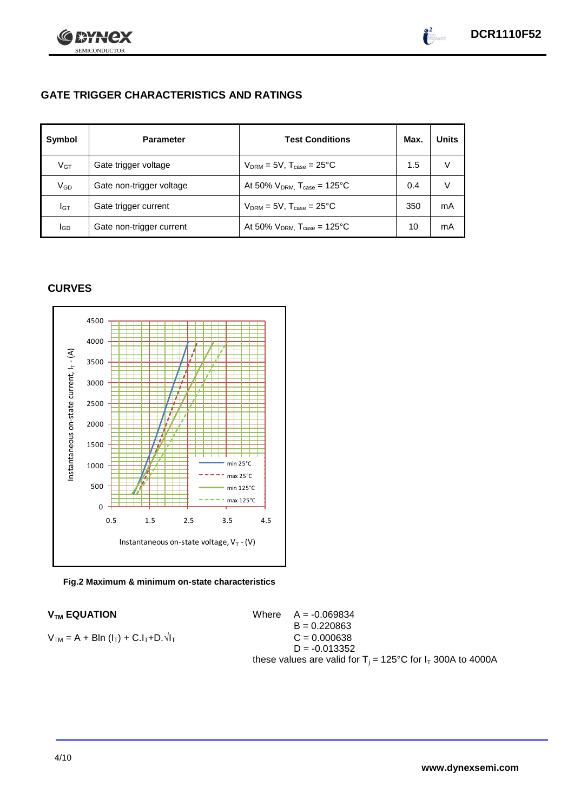

# **GATE TRIGGER CHARACTERISTICS AND RATINGS**

| Symbol       | <b>Parameter</b>         | <b>Test Conditions</b>                       | Max. | Units |
|--------------|--------------------------|----------------------------------------------|------|-------|
| $V$ GT       | Gate trigger voltage     | $V_{DRM} = 5V$ , $T_{case} = 25^{\circ}C$    | 1.5  |       |
| $\rm V_{GD}$ | Gate non-trigger voltage | At 50% $V_{DRM}$ , $T_{case} = 125^{\circ}C$ | 0.4  |       |
| Iст          | Gate trigger current     | $V_{DRM} = 5V$ , $T_{case} = 25^{\circ}C$    | 350  | mA    |
| lgp          | Gate non-trigger current | At 50% $V_{DRM}$ , $T_{case} = 125^{\circ}C$ | 10   | mA    |

# **CURVES**



**Fig.2 Maximum & minimum on-state characteristics**

 $V_{TM}$  **EQUATION** Where  $A = -0.069834$  $B = 0.220863$  $V_{TM} = A + Bln (I_T) + C.I_T + D.\sqrt{I_T}$   $C = 0.000638$  $D = -0.013352$ these values are valid for  $T_i = 125^{\circ}C$  for  $I_T$  300A to 4000A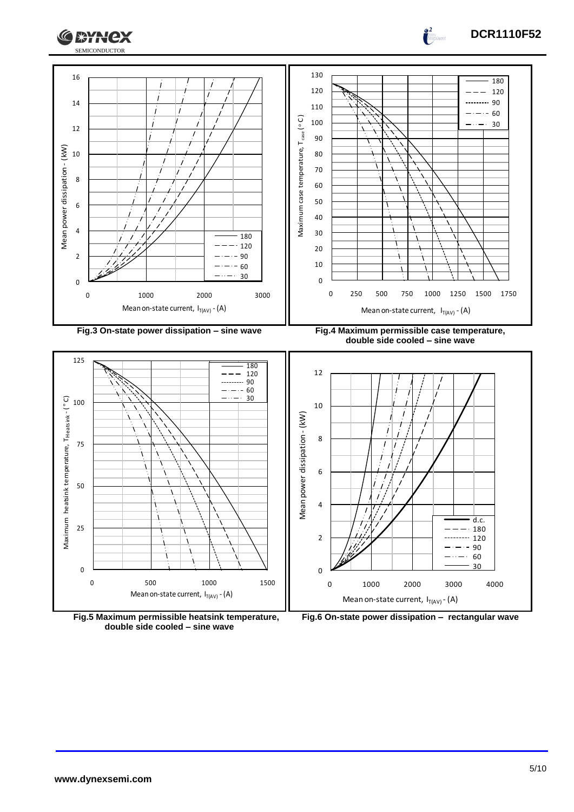



0

2





Mean on-state current,  $I_{T(AV)}$  - (A)

0 1000 2000 3000 4000

120  $\frac{12}{90}$  $\frac{1}{90}$ <br>60  $\frac{\overline{-\cdots -}}{30}$ 

---------

 $\boldsymbol{0}$ 

**DCR1110F52**

 $\int_0^2$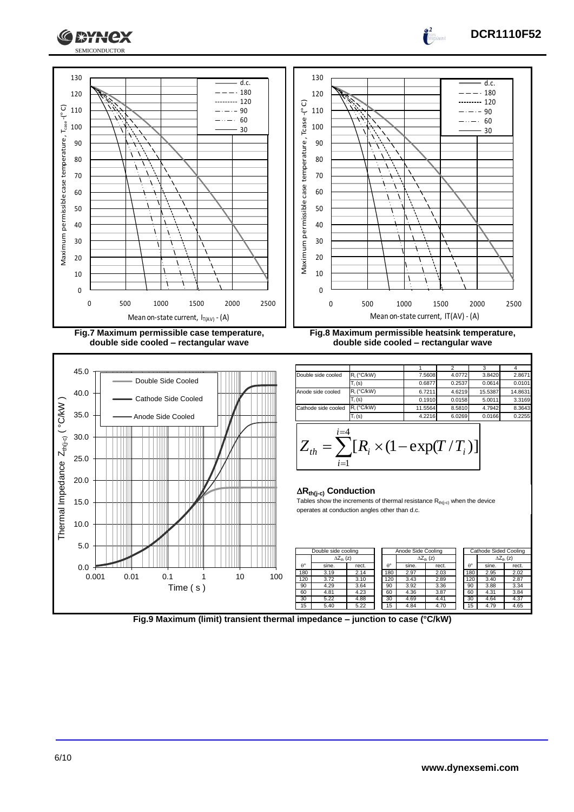

**double side cooled – rectangular wave**



**Fig.8 Maximum permissible heatsink temperature, double side cooled – rectangular wave**

**DCR1110F52**

d.c.  $-0.180$ -------- 120  $- - 90$  $\cdots - 60$ 30

 $\int_0^2$ a<br>Santa B

|                     |               |         | າ      |         |         |
|---------------------|---------------|---------|--------|---------|---------|
| Double side cooled  | $R_i$ (°C/kW) | 7.5608  | 4.0772 | 3.8420  | 2.8671  |
|                     | $T_i(s)$      | 0.6877  | 0.2537 | 0.0614  | 0.0101  |
| Anode side cooled   | $R_i$ (°C/kW) | 6.7211  | 4.6219 | 15.5387 | 14.8631 |
|                     | $T_i(s)$      | 0.1910  | 0.0158 | 5.0011  | 3.3169  |
| Cathode side cooled | $R_i$ (°C/kW) | 11.5564 | 8.5810 | 4.7942  | 8.3643  |
|                     | $T_i(s)$      | 4.2216  | 6.0269 | 0.0166  | 0.2255  |
| $i = 4$             |               |         |        |         |         |

$$
Z_{th} = \sum_{i=1}^{l=4} [R_i \times (1 - \exp(T/T_i))]
$$

## **Rth(j-c) Conduction**

Tables show the increments of thermal resistance  $R_{th(j-c)}$  when the device operates at conduction angles other than d.c.

|                  | Double side cooling |       |  | Anode Side Cooling |                     |       |  | Cathode Sided Cooling |       |                     |
|------------------|---------------------|-------|--|--------------------|---------------------|-------|--|-----------------------|-------|---------------------|
|                  | $\Delta Z_{th}$ (z) |       |  |                    | $\Delta Z_{th}$ (z) |       |  |                       |       | $\Delta Z_{th}$ (z) |
| $\theta^{\circ}$ | sine.               | rect. |  | $\theta^{\circ}$   | sine.               | rect. |  | $\theta^{\circ}$      | sine. | rect.               |
| 180              | 3.19                | 2.14  |  | 180                | 2.97                | 2.03  |  | 180                   | 2.95  | 2.02                |
| 120              | 3.72                | 3.10  |  | 120                | 3.43                | 2.89  |  | 120                   | 3.40  | 2.87                |
| 90               | 4.29                | 3.64  |  | 90                 | 3.92                | 3.36  |  | 90                    | 3.88  | 3.34                |
| 60               | 4.81                | 4.23  |  | 60                 | 4.36                | 3.87  |  | 60                    | 4.31  | 3.84                |
| 30               | 5.22                | 4.88  |  | 30                 | 4.69                | 4.41  |  | 30                    | 4.64  | 4.37                |
| 15               | 5.40                | 5.22  |  | 15                 | 4.84                | 4.70  |  | 15                    | 4.79  | 4.65                |

**Fig.9 Maximum (limit) transient thermal impedance – junction to case (°C/kW)**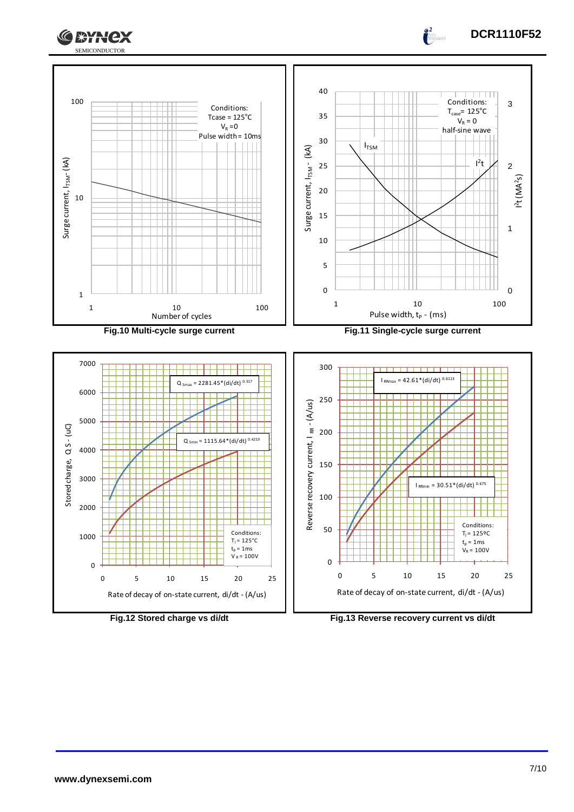



5 0

100

150

Reverse recovery current, I RR

200





<sup>0</sup> <sup>5</sup> 1 0 1 5 2 0 2 5

 $30.51*(di/dt)$ 

Conditions:  $T_j = 125^{\circ}C$  $t_p = 1$  ms  $V_R = 100V$ 

Rate of decay of on-state current, di/dt - (A/us)



 $\frac{2}{1}$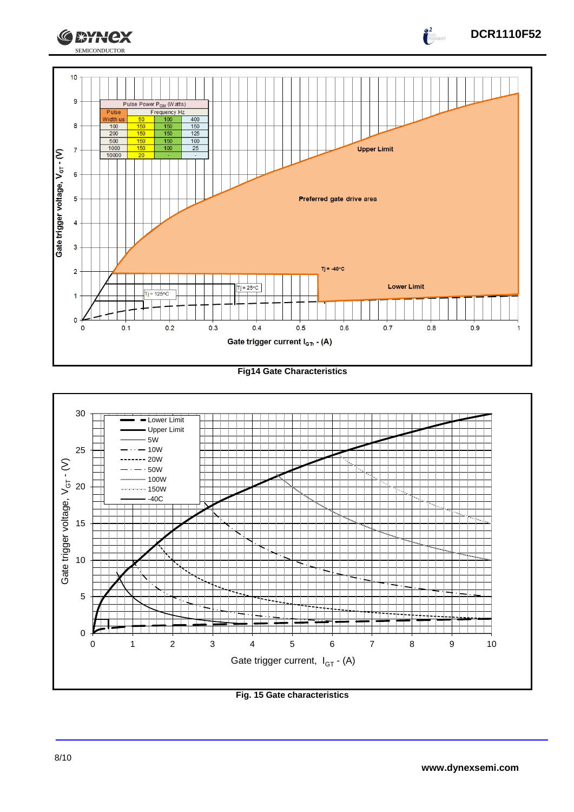

## **Fig14 Gate Characteristics**



**Fig. 15 Gate characteristics**

**DCR1110F52**

 $\int_{0}^{2}$ 

**CEYNEX**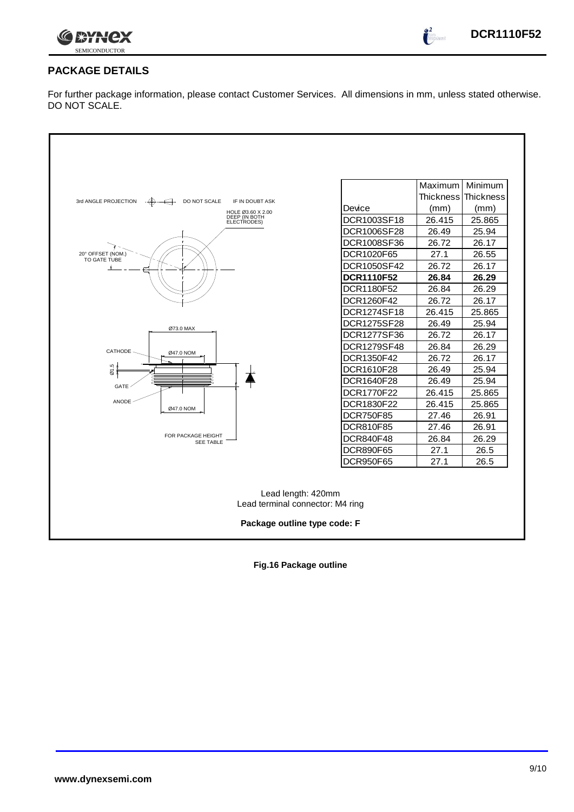

 $\int_{0}^{\infty}$ 

# **PACKAGE DETAILS**

For further package information, please contact Customer Services. All dimensions in mm, unless stated otherwise. DO NOT SCALE.

| 3rd ANGLE PROJECTION<br>DO NOT SCALE<br>IF IN DOUBT ASK<br>$\leftrightarrow$<br>HOLE Ø3.60 X 2.00<br>DEEP (IN BOTH<br>ELECTRODES)<br>20° OFFSET (NOM.)<br>TO GATE TUBE | Device<br>DCR1003SF18<br>DCR1006SF28<br>DCR1008SF36<br>DCR1020F65 | Maximum<br>Thickness Thickness<br>(mm)<br>26.415<br>26.49<br>26.72<br>27.1 | Minimum<br>(mm)<br>25.865<br>25.94<br>26.17<br>26.55 |  |  |  |
|------------------------------------------------------------------------------------------------------------------------------------------------------------------------|-------------------------------------------------------------------|----------------------------------------------------------------------------|------------------------------------------------------|--|--|--|
|                                                                                                                                                                        | DCR1050SF42<br><b>DCR1110F52</b>                                  | 26.72<br>26.84                                                             | 26.17<br>26.29                                       |  |  |  |
|                                                                                                                                                                        | DCR1180F52                                                        | 26.84                                                                      | 26.29                                                |  |  |  |
|                                                                                                                                                                        | DCR1260F42                                                        | 26.72                                                                      | 26.17                                                |  |  |  |
|                                                                                                                                                                        | DCR1274SF18                                                       | 26.415                                                                     | 25.865                                               |  |  |  |
|                                                                                                                                                                        | <b>DCR1275SF28</b>                                                | 26.49                                                                      | 25.94                                                |  |  |  |
| Ø73.0 MAX                                                                                                                                                              | DCR1277SF36                                                       | 26.72                                                                      | 26.17                                                |  |  |  |
|                                                                                                                                                                        | DCR1279SF48                                                       | 26.84                                                                      | 26.29                                                |  |  |  |
| CATHODE<br>Ø47.0 NOM                                                                                                                                                   | DCR1350F42                                                        | 26.72                                                                      | 26.17                                                |  |  |  |
| $\omega$ 1.5                                                                                                                                                           | DCR1610F28                                                        | 26.49                                                                      | 25.94                                                |  |  |  |
| <b>GATE</b>                                                                                                                                                            | DCR1640F28                                                        | 26.49                                                                      | 25.94                                                |  |  |  |
|                                                                                                                                                                        | DCR1770F22                                                        | 26.415                                                                     | 25.865                                               |  |  |  |
| <b>ANODE</b><br>Ø47.0 NOM                                                                                                                                              | DCR1830F22                                                        | 26.415                                                                     | 25.865                                               |  |  |  |
|                                                                                                                                                                        | <b>DCR750F85</b>                                                  | 27.46                                                                      | 26.91                                                |  |  |  |
|                                                                                                                                                                        | DCR810F85                                                         | 27.46                                                                      | 26.91                                                |  |  |  |
| FOR PACKAGE HEIGHT<br><b>SEE TABLE</b>                                                                                                                                 | <b>DCR840F48</b>                                                  | 26.84                                                                      | 26.29                                                |  |  |  |
|                                                                                                                                                                        | <b>DCR890F65</b>                                                  | 27.1                                                                       | 26.5                                                 |  |  |  |
|                                                                                                                                                                        | DCR950F65                                                         | 27.1                                                                       | 26.5                                                 |  |  |  |
| Lead length: 420mm<br>Lead terminal connector: M4 ring<br>Package outline type code: F                                                                                 |                                                                   |                                                                            |                                                      |  |  |  |

**Fig.16 Package outline**